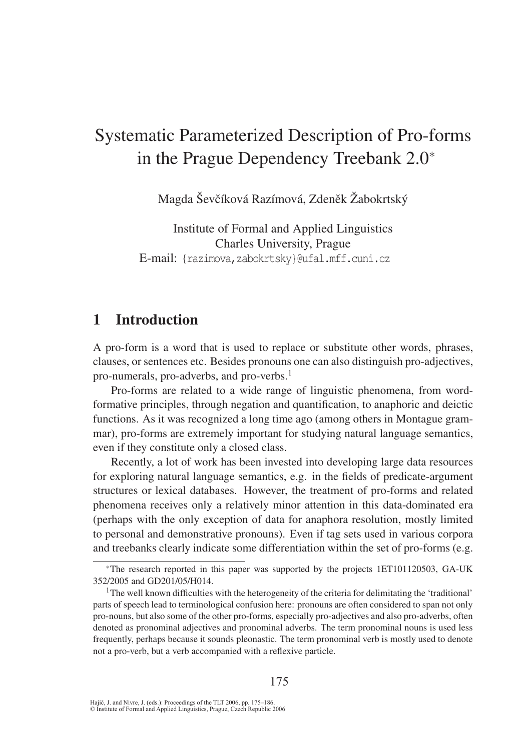# Systematic Parameterized Description of Pro-forms in the Prague Dependency Treebank 2.0<sup>∗</sup>

Magda Ševčíková Razímová, Zdeněk Žabokrtský

Institute of Formal and Applied Linguistics Charles University, Prague E-mail: {razimova,zabokrtsky}@ufal.mff.cuni.cz

## 1 Introduction

A pro-form is a word that is used to replace or substitute other words, phrases, clauses, or sentences etc. Besides pronouns one can also distinguish pro-adjectives, pro-numerals, pro-adverbs, and pro-verbs.<sup>1</sup>

Pro-forms are related to a wide range of linguistic phenomena, from wordformative principles, through negation and quantification, to anaphoric and deictic functions. As it was recognized a long time ago (among others in Montague grammar), pro-forms are extremely important for studying natural language semantics, even if they constitute only a closed class.

Recently, a lot of work has been invested into developing large data resources for exploring natural language semantics, e.g. in the fields of predicate-argument structures or lexical databases. However, the treatment of pro-forms and related phenomena receives only a relatively minor attention in this data-dominated era (perhaps with the only exception of data for anaphora resolution, mostly limited to personal and demonstrative pronouns). Even if tag sets used in various corpora and treebanks clearly indicate some differentiation within the set of pro-forms (e.g.

<sup>∗</sup>The research reported in this paper was supported by the projects 1ET101120503, GA-UK 352/2005 and GD201/05/H014.

<sup>1</sup>The well known difficulties with the heterogeneity of the criteria for delimitating the 'traditional' parts of speech lead to terminological confusion here: pronouns are often considered to span not only pro-nouns, but also some of the other pro-forms, especially pro-adjectives and also pro-adverbs, often denoted as pronominal adjectives and pronominal adverbs. The term pronominal nouns is used less frequently, perhaps because it sounds pleonastic. The term pronominal verb is mostly used to denote not a pro-verb, but a verb accompanied with a reflexive particle.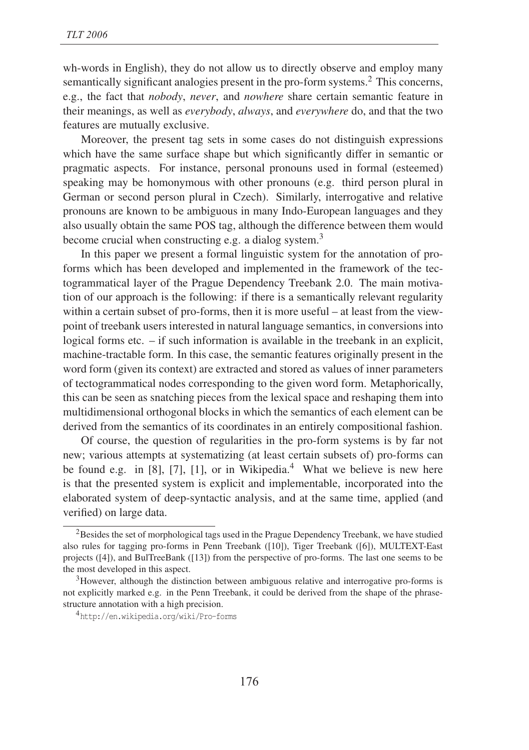wh-words in English), they do not allow us to directly observe and employ many semantically significant analogies present in the pro-form systems.<sup>2</sup> This concerns, e.g., the fact that *nobody*, *never*, and *nowhere* share certain semantic feature in their meanings, as well as *everybody*, *always*, and *everywhere* do, and that the two features are mutually exclusive.

Moreover, the present tag sets in some cases do not distinguish expressions which have the same surface shape but which significantly differ in semantic or pragmatic aspects. For instance, personal pronouns used in formal (esteemed) speaking may be homonymous with other pronouns (e.g. third person plural in German or second person plural in Czech). Similarly, interrogative and relative pronouns are known to be ambiguous in many Indo-European languages and they also usually obtain the same POS tag, although the difference between them would become crucial when constructing e.g. a dialog system. $3$ 

In this paper we present a formal linguistic system for the annotation of proforms which has been developed and implemented in the framework of the tectogrammatical layer of the Prague Dependency Treebank 2.0. The main motivation of our approach is the following: if there is a semantically relevant regularity within a certain subset of pro-forms, then it is more useful – at least from the viewpoint of treebank users interested in natural language semantics, in conversions into logical forms etc. – if such information is available in the treebank in an explicit, machine-tractable form. In this case, the semantic features originally present in the word form (given its context) are extracted and stored as values of inner parameters of tectogrammatical nodes corresponding to the given word form. Metaphorically, this can be seen as snatching pieces from the lexical space and reshaping them into multidimensional orthogonal blocks in which the semantics of each element can be derived from the semantics of its coordinates in an entirely compositional fashion.

Of course, the question of regularities in the pro-form systems is by far not new; various attempts at systematizing (at least certain subsets of) pro-forms can be found e.g. in  $[8]$ ,  $[7]$ ,  $[1]$ , or in Wikipedia.<sup>4</sup> What we believe is new here is that the presented system is explicit and implementable, incorporated into the elaborated system of deep-syntactic analysis, and at the same time, applied (and verified) on large data.

<sup>&</sup>lt;sup>2</sup>Besides the set of morphological tags used in the Prague Dependency Treebank, we have studied also rules for tagging pro-forms in Penn Treebank ([10]), Tiger Treebank ([6]), MULTEXT-East projects ([4]), and BulTreeBank ([13]) from the perspective of pro-forms. The last one seems to be the most developed in this aspect.

<sup>3</sup>However, although the distinction between ambiguous relative and interrogative pro-forms is not explicitly marked e.g. in the Penn Treebank, it could be derived from the shape of the phrasestructure annotation with a high precision.

<sup>4</sup>http://en.wikipedia.org/wiki/Pro-forms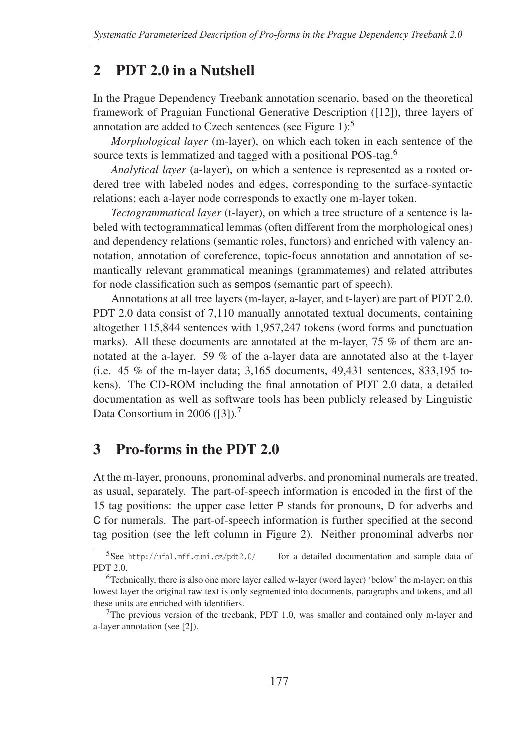### 2 PDT 2.0 in a Nutshell

In the Prague Dependency Treebank annotation scenario, based on the theoretical framework of Praguian Functional Generative Description ([12]), three layers of annotation are added to Czech sentences (see Figure 1): $5$ 

*Morphological layer* (m-layer), on which each token in each sentence of the source texts is lemmatized and tagged with a positional POS-tag.<sup>6</sup>

*Analytical layer* (a-layer), on which a sentence is represented as a rooted ordered tree with labeled nodes and edges, corresponding to the surface-syntactic relations; each a-layer node corresponds to exactly one m-layer token.

*Tectogrammatical layer* (t-layer), on which a tree structure of a sentence is labeled with tectogrammatical lemmas (often different from the morphological ones) and dependency relations (semantic roles, functors) and enriched with valency annotation, annotation of coreference, topic-focus annotation and annotation of semantically relevant grammatical meanings (grammatemes) and related attributes for node classification such as sempos (semantic part of speech).

Annotations at all tree layers (m-layer, a-layer, and t-layer) are part of PDT 2.0. PDT 2.0 data consist of 7,110 manually annotated textual documents, containing altogether 115,844 sentences with 1,957,247 tokens (word forms and punctuation marks). All these documents are annotated at the m-layer, 75 % of them are annotated at the a-layer. 59 % of the a-layer data are annotated also at the t-layer (i.e. 45 % of the m-layer data; 3,165 documents, 49,431 sentences, 833,195 tokens). The CD-ROM including the final annotation of PDT 2.0 data, a detailed documentation as well as software tools has been publicly released by Linguistic Data Consortium in 2006 ([3]).<sup>7</sup>

## 3 Pro-forms in the PDT 2.0

At the m-layer, pronouns, pronominal adverbs, and pronominal numerals are treated, as usual, separately. The part-of-speech information is encoded in the first of the 15 tag positions: the upper case letter P stands for pronouns, D for adverbs and C for numerals. The part-of-speech information is further specified at the second tag position (see the left column in Figure 2). Neither pronominal adverbs nor

 $5$ See http://ufal.mff.cuni.cz/pdt2.0/ for a detailed documentation and sample data of PDT 2.0.

<sup>6</sup>Technically, there is also one more layer called w-layer (word layer) 'below' the m-layer; on this lowest layer the original raw text is only segmented into documents, paragraphs and tokens, and all these units are enriched with identifiers.

<sup>7</sup>The previous version of the treebank, PDT 1.0, was smaller and contained only m-layer and a-layer annotation (see [2]).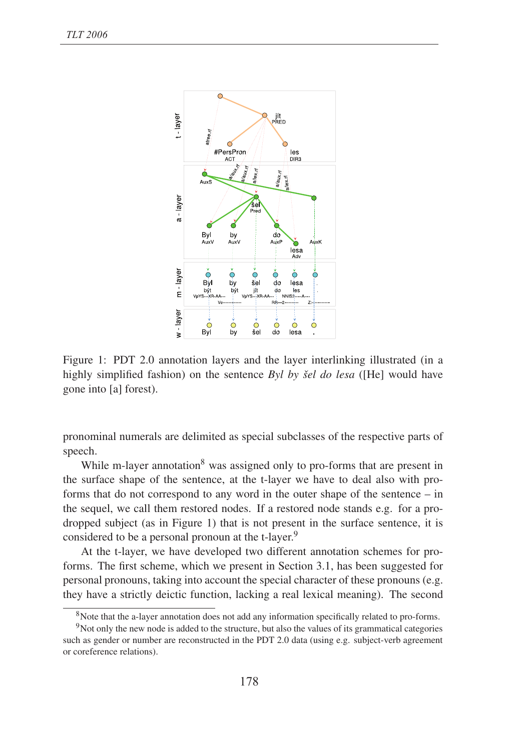

Figure 1: PDT 2.0 annotation layers and the layer interlinking illustrated (in a highly simplified fashion) on the sentence *Byl by šel do lesa* ([He] would have gone into [a] forest).

pronominal numerals are delimited as special subclasses of the respective parts of speech.

While m-layer annotation<sup>8</sup> was assigned only to pro-forms that are present in the surface shape of the sentence, at the t-layer we have to deal also with proforms that do not correspond to any word in the outer shape of the sentence – in the sequel, we call them restored nodes. If a restored node stands e.g. for a prodropped subject (as in Figure 1) that is not present in the surface sentence, it is considered to be a personal pronoun at the t-layer.<sup>9</sup>

At the t-layer, we have developed two different annotation schemes for proforms. The first scheme, which we present in Section 3.1, has been suggested for personal pronouns, taking into account the special character of these pronouns (e.g. they have a strictly deictic function, lacking a real lexical meaning). The second

<sup>8</sup>Note that the a-layer annotation does not add any information specifically related to pro-forms.

<sup>&</sup>lt;sup>9</sup>Not only the new node is added to the structure, but also the values of its grammatical categories such as gender or number are reconstructed in the PDT 2.0 data (using e.g. subject-verb agreement or coreference relations).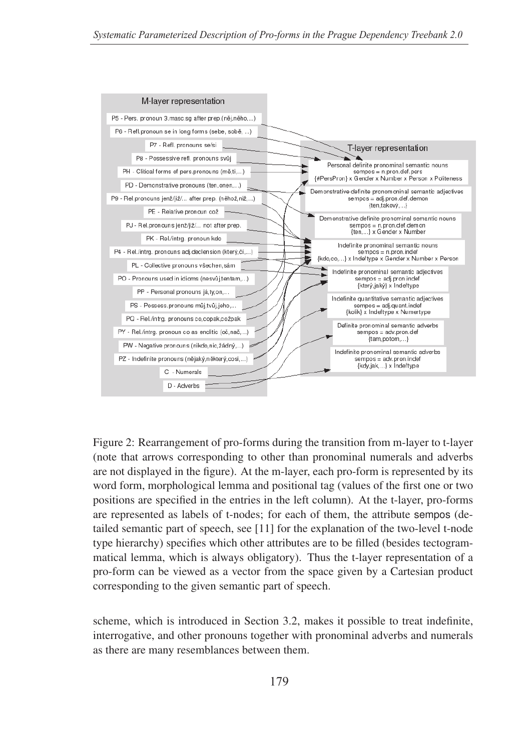

Figure 2: Rearrangement of pro-forms during the transition from m-layer to t-layer (note that arrows corresponding to other than pronominal numerals and adverbs are not displayed in the figure). At the m-layer, each pro-form is represented by its word form, morphological lemma and positional tag (values of the first one or two positions are specified in the entries in the left column). At the t-layer, pro-forms are represented as labels of t-nodes; for each of them, the attribute sempos (detailed semantic part of speech, see [11] for the explanation of the two-level t-node type hierarchy) specifies which other attributes are to be filled (besides tectogrammatical lemma, which is always obligatory). Thus the t-layer representation of a pro-form can be viewed as a vector from the space given by a Cartesian product corresponding to the given semantic part of speech.

scheme, which is introduced in Section 3.2, makes it possible to treat indefinite, interrogative, and other pronouns together with pronominal adverbs and numerals as there are many resemblances between them.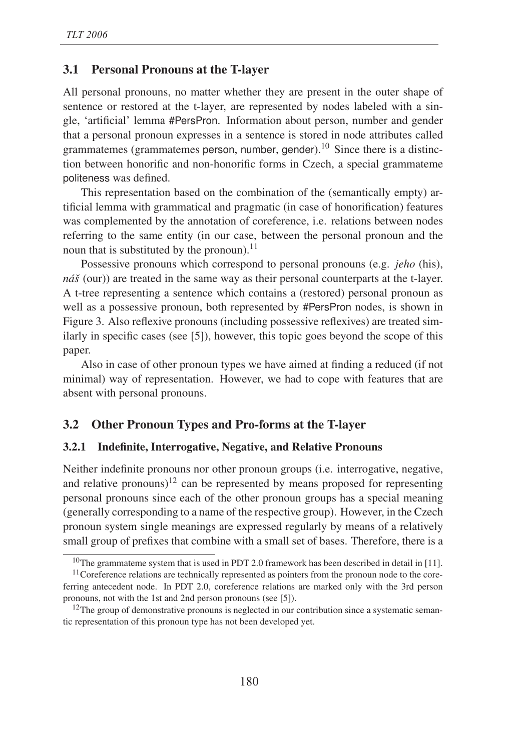#### 3.1 Personal Pronouns at the T-layer

All personal pronouns, no matter whether they are present in the outer shape of sentence or restored at the t-layer, are represented by nodes labeled with a single, 'artificial' lemma #PersPron. Information about person, number and gender that a personal pronoun expresses in a sentence is stored in node attributes called grammatemes (grammatemes person, number, gender).<sup>10</sup> Since there is a distinction between honorific and non-honorific forms in Czech, a special grammateme politeness was defined.

This representation based on the combination of the (semantically empty) artificial lemma with grammatical and pragmatic (in case of honorification) features was complemented by the annotation of coreference, i.e. relations between nodes referring to the same entity (in our case, between the personal pronoun and the noun that is substituted by the pronoun).<sup>11</sup>

Possessive pronouns which correspond to personal pronouns (e.g. *jeho* (his), *náš* (our)) are treated in the same way as their personal counterparts at the t-layer. A t-tree representing a sentence which contains a (restored) personal pronoun as well as a possessive pronoun, both represented by #PersPron nodes, is shown in Figure 3. Also reflexive pronouns (including possessive reflexives) are treated similarly in specific cases (see [5]), however, this topic goes beyond the scope of this paper.

Also in case of other pronoun types we have aimed at finding a reduced (if not minimal) way of representation. However, we had to cope with features that are absent with personal pronouns.

#### 3.2 Other Pronoun Types and Pro-forms at the T-layer

#### 3.2.1 Indefinite, Interrogative, Negative, and Relative Pronouns

Neither indefinite pronouns nor other pronoun groups (i.e. interrogative, negative, and relative pronouns)<sup>12</sup> can be represented by means proposed for representing personal pronouns since each of the other pronoun groups has a special meaning (generally corresponding to a name of the respective group). However, in the Czech pronoun system single meanings are expressed regularly by means of a relatively small group of prefixes that combine with a small set of bases. Therefore, there is a

<sup>&</sup>lt;sup>10</sup>The grammateme system that is used in PDT 2.0 framework has been described in detail in [11].

<sup>&</sup>lt;sup>11</sup>Coreference relations are technically represented as pointers from the pronoun node to the coreferring antecedent node. In PDT 2.0, coreference relations are marked only with the 3rd person pronouns, not with the 1st and 2nd person pronouns (see [5]).

 $12$ The group of demonstrative pronouns is neglected in our contribution since a systematic semantic representation of this pronoun type has not been developed yet.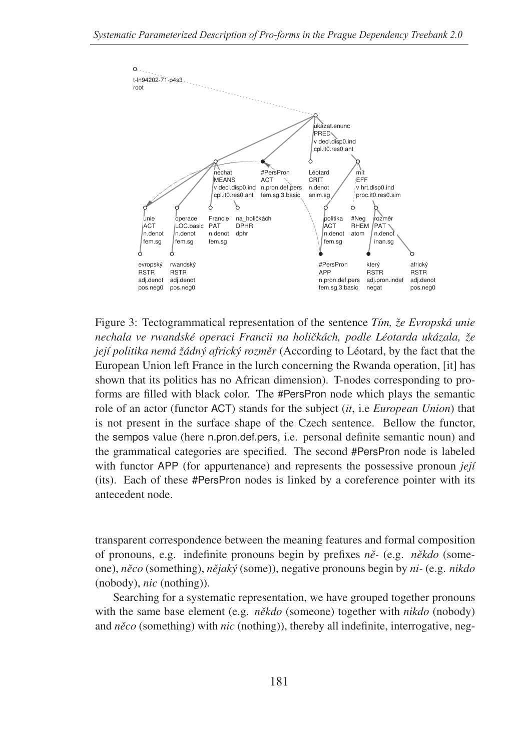

Figure 3: Tectogrammatical representation of the sentence *Tím, že Evropská unie nechala ve rwandské operaci Francii na holiˇckách, podle Léotarda ukázala, že její politika nemá žádný africký rozměr* (According to Léotard, by the fact that the European Union left France in the lurch concerning the Rwanda operation, [it] has shown that its politics has no African dimension). T-nodes corresponding to proforms are filled with black color. The #PersPron node which plays the semantic role of an actor (functor ACT) stands for the subject (*it*, i.e *European Union*) that is not present in the surface shape of the Czech sentence. Bellow the functor, the sempos value (here n.pron.def.pers, i.e. personal definite semantic noun) and the grammatical categories are specified. The second #PersPron node is labeled with functor APP (for appurtenance) and represents the possessive pronoun *její* (its). Each of these #PersPron nodes is linked by a coreference pointer with its antecedent node.

transparent correspondence between the meaning features and formal composition of pronouns, e.g. indefinite pronouns begin by prefixes *nˇe-* (e.g. *nˇekdo* (someone), *nˇeco* (something), *nˇejaký* (some)), negative pronouns begin by *ni-* (e.g. *nikdo* (nobody), *nic* (nothing)).

Searching for a systematic representation, we have grouped together pronouns with the same base element (e.g. *někdo* (someone) together with *nikdo* (nobody) and *něco* (something) with *nic* (nothing)), thereby all indefinite, interrogative, neg-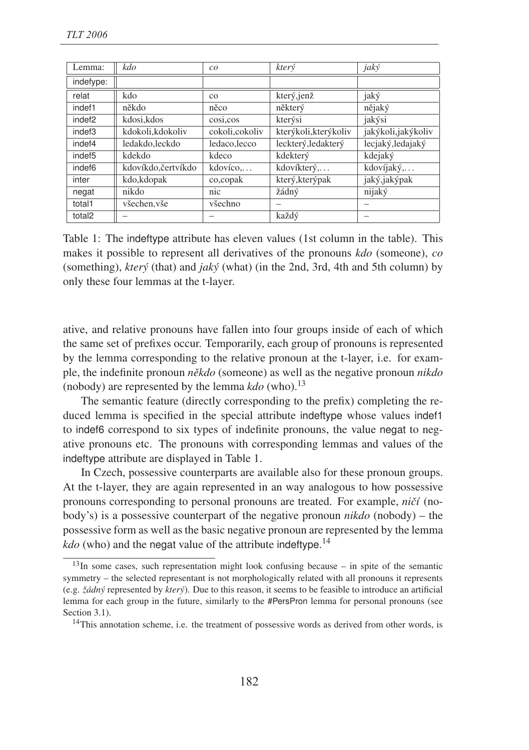| Lemma:             | kdo                 | co             | který                 | jaký                |
|--------------------|---------------------|----------------|-----------------------|---------------------|
| indefype:          |                     |                |                       |                     |
| relat              | kdo                 | $_{\rm CO}$    | který, jenž           | jaký                |
| indef1             | někdo               | něco           | některý               | nějaký              |
| indef <sub>2</sub> | kdosi, kdos         | $\cos i, \cos$ | kterýsi               | jakýsi              |
| indef3             | kdokoli, kdokoliv   | cokoli,cokoliv | kterýkoli, kterýkoliv | jakýkoli, jakýkoliv |
| indef4             | ledakdo.leckdo      | ledaco, lecco  | leckterý, ledakterý   | lecjaký, ledajaký   |
| indef <sub>5</sub> | kdekdo              | kdeco          | kdekterý              | kdejaký             |
| indef <sub>6</sub> | kdovíkdo, čertvíkdo | kdovíco        | kdovíkterý,           | kdovíjaký,          |
| inter              | kdo, kdopak         | co, copak      | který, který pak      | jaký, jaký pak      |
| negat              | nikdo               | nic            | žádný                 | nijaký              |
| total1             | všechen, vše        | všechno        |                       |                     |
| total <sub>2</sub> |                     |                | každý                 |                     |

Table 1: The indeftype attribute has eleven values (1st column in the table). This makes it possible to represent all derivatives of the pronouns *kdo* (someone), *co* (something), *který* (that) and *jaký* (what) (in the 2nd, 3rd, 4th and 5th column) by only these four lemmas at the t-layer.

ative, and relative pronouns have fallen into four groups inside of each of which the same set of prefixes occur. Temporarily, each group of pronouns is represented by the lemma corresponding to the relative pronoun at the t-layer, i.e. for example, the indefinite pronoun  $n\check{e}kdo$  (someone) as well as the negative pronoun *nikdo* (nobody) are represented by the lemma  $kdo$  (who).<sup>13</sup>

The semantic feature (directly corresponding to the prefix) completing the reduced lemma is specified in the special attribute indeftype whose values indef1 to indef6 correspond to six types of indefinite pronouns, the value negat to negative pronouns etc. The pronouns with corresponding lemmas and values of the indeftype attribute are displayed in Table 1.

In Czech, possessive counterparts are available also for these pronoun groups. At the t-layer, they are again represented in an way analogous to how possessive pronouns corresponding to personal pronouns are treated. For example, *niˇcí* (nobody's) is a possessive counterpart of the negative pronoun *nikdo* (nobody) – the possessive form as well as the basic negative pronoun are represented by the lemma kdo (who) and the negat value of the attribute indeftype.<sup>14</sup>

<sup>13</sup>In some cases, such representation might look confusing because – in spite of the semantic symmetry – the selected representant is not morphologically related with all pronouns it represents (e.g. *žádný* represented by *který*). Due to this reason, it seems to be feasible to introduce an artificial lemma for each group in the future, similarly to the #PersPron lemma for personal pronouns (see Section 3.1).

<sup>&</sup>lt;sup>14</sup>This annotation scheme, i.e. the treatment of possessive words as derived from other words, is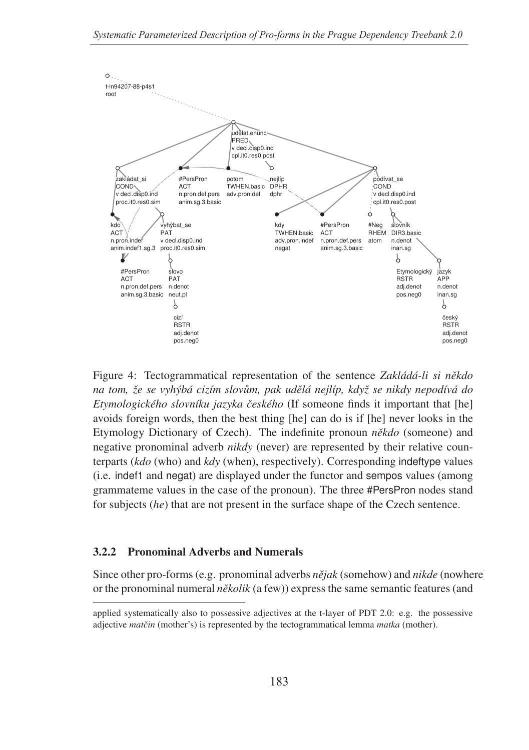

Figure 4: Tectogrammatical representation of the sentence *Zakládá-li si někdo na tom, že se vyhýbá cizím slov˚um, pak udˇelá nejlíp, když se nikdy nepodívá do Etymologického slovníku jazyka ˇceského* (If someone finds it important that [he] avoids foreign words, then the best thing [he] can do is if [he] never looks in the Etymology Dictionary of Czech). The indefinite pronoun *někdo* (someone) and negative pronominal adverb *nikdy* (never) are represented by their relative counterparts (*kdo* (who) and *kdy* (when), respectively). Corresponding indeftype values (i.e. indef1 and negat) are displayed under the functor and sempos values (among grammateme values in the case of the pronoun). The three #PersPron nodes stand for subjects (*he*) that are not present in the surface shape of the Czech sentence.

### 3.2.2 Pronominal Adverbs and Numerals

Since other pro-forms (e.g. pronominal adverbs *nějak* (somehow) and *nikde* (nowhere) or the pronominal numeral *několik* (a few)) express the same semantic features (and

applied systematically also to possessive adjectives at the t-layer of PDT 2.0: e.g. the possessive adjective *matˇcin* (mother's) is represented by the tectogrammatical lemma *matka* (mother).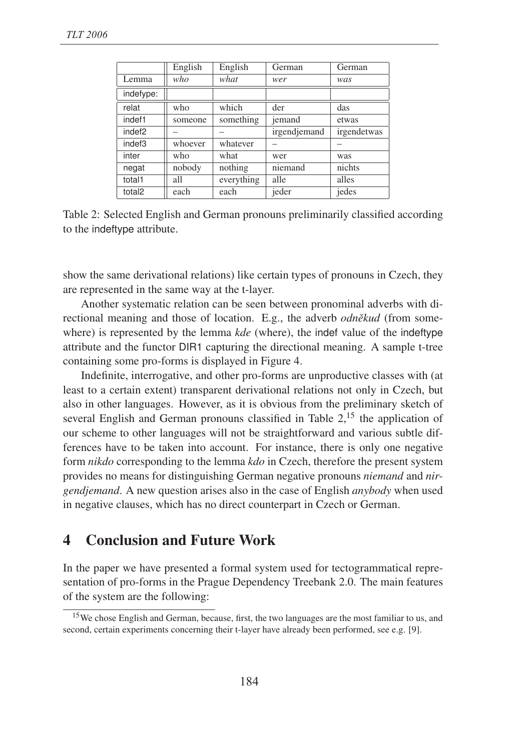|                    | English | English    | German       | German      |
|--------------------|---------|------------|--------------|-------------|
| Lemma              | who     | what       | wer          | was         |
| indefype:          |         |            |              |             |
| relat              | who     | which      | der          | das         |
| indef1             | someone | something  | jemand       | etwas       |
| indef <sub>2</sub> |         |            | irgendjemand | irgendetwas |
| indef3             | whoever | whatever   |              |             |
| inter              | who     | what       | wer          | was         |
| negat              | nobody  | nothing    | niemand      | nichts      |
| total1             | all     | everything | alle         | alles       |
| total <sub>2</sub> | each    | each       | jeder        | jedes       |

Table 2: Selected English and German pronouns preliminarily classified according to the indeftype attribute.

show the same derivational relations) like certain types of pronouns in Czech, they are represented in the same way at the t-layer.

Another systematic relation can be seen between pronominal adverbs with directional meaning and those of location. E.g., the adverb *odněkud* (from somewhere) is represented by the lemma *kde* (where), the indef value of the indeftype attribute and the functor DIR1 capturing the directional meaning. A sample t-tree containing some pro-forms is displayed in Figure 4.

Indefinite, interrogative, and other pro-forms are unproductive classes with (at least to a certain extent) transparent derivational relations not only in Czech, but also in other languages. However, as it is obvious from the preliminary sketch of several English and German pronouns classified in Table  $2$ ,<sup>15</sup> the application of our scheme to other languages will not be straightforward and various subtle differences have to be taken into account. For instance, there is only one negative form *nikdo* corresponding to the lemma *kdo* in Czech, therefore the present system provides no means for distinguishing German negative pronouns *niemand* and *nirgendjemand*. A new question arises also in the case of English *anybody* when used in negative clauses, which has no direct counterpart in Czech or German.

### 4 Conclusion and Future Work

In the paper we have presented a formal system used for tectogrammatical representation of pro-forms in the Prague Dependency Treebank 2.0. The main features of the system are the following:

<sup>15</sup>We chose English and German, because, first, the two languages are the most familiar to us, and second, certain experiments concerning their t-layer have already been performed, see e.g. [9].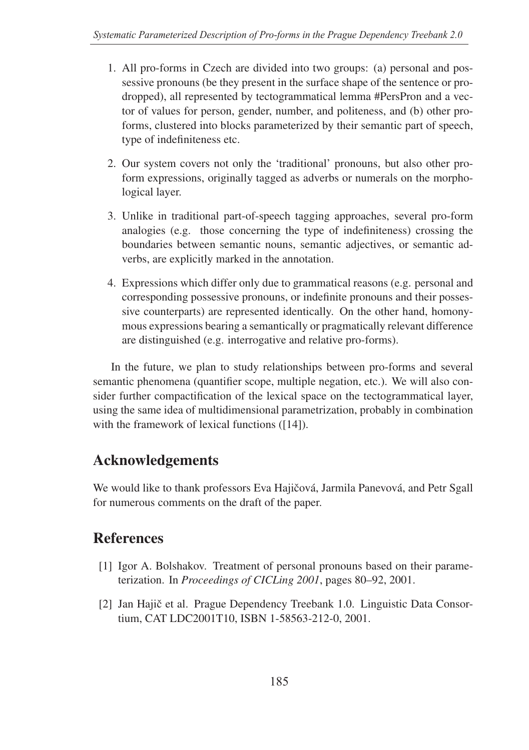- 1. All pro-forms in Czech are divided into two groups: (a) personal and possessive pronouns (be they present in the surface shape of the sentence or prodropped), all represented by tectogrammatical lemma #PersPron and a vector of values for person, gender, number, and politeness, and (b) other proforms, clustered into blocks parameterized by their semantic part of speech, type of indefiniteness etc.
- 2. Our system covers not only the 'traditional' pronouns, but also other proform expressions, originally tagged as adverbs or numerals on the morphological layer.
- 3. Unlike in traditional part-of-speech tagging approaches, several pro-form analogies (e.g. those concerning the type of indefiniteness) crossing the boundaries between semantic nouns, semantic adjectives, or semantic adverbs, are explicitly marked in the annotation.
- 4. Expressions which differ only due to grammatical reasons (e.g. personal and corresponding possessive pronouns, or indefinite pronouns and their possessive counterparts) are represented identically. On the other hand, homonymous expressions bearing a semantically or pragmatically relevant difference are distinguished (e.g. interrogative and relative pro-forms).

In the future, we plan to study relationships between pro-forms and several semantic phenomena (quantifier scope, multiple negation, etc.). We will also consider further compactification of the lexical space on the tectogrammatical layer, using the same idea of multidimensional parametrization, probably in combination with the framework of lexical functions ([14]).

## Acknowledgements

We would like to thank professors Eva Hajičová, Jarmila Panevová, and Petr Sgall for numerous comments on the draft of the paper.

## References

- [1] Igor A. Bolshakov. Treatment of personal pronouns based on their parameterization. In *Proceedings of CICLing 2001*, pages 80–92, 2001.
- [2] Jan Hajič et al. Prague Dependency Treebank 1.0. Linguistic Data Consortium, CAT LDC2001T10, ISBN 1-58563-212-0, 2001.